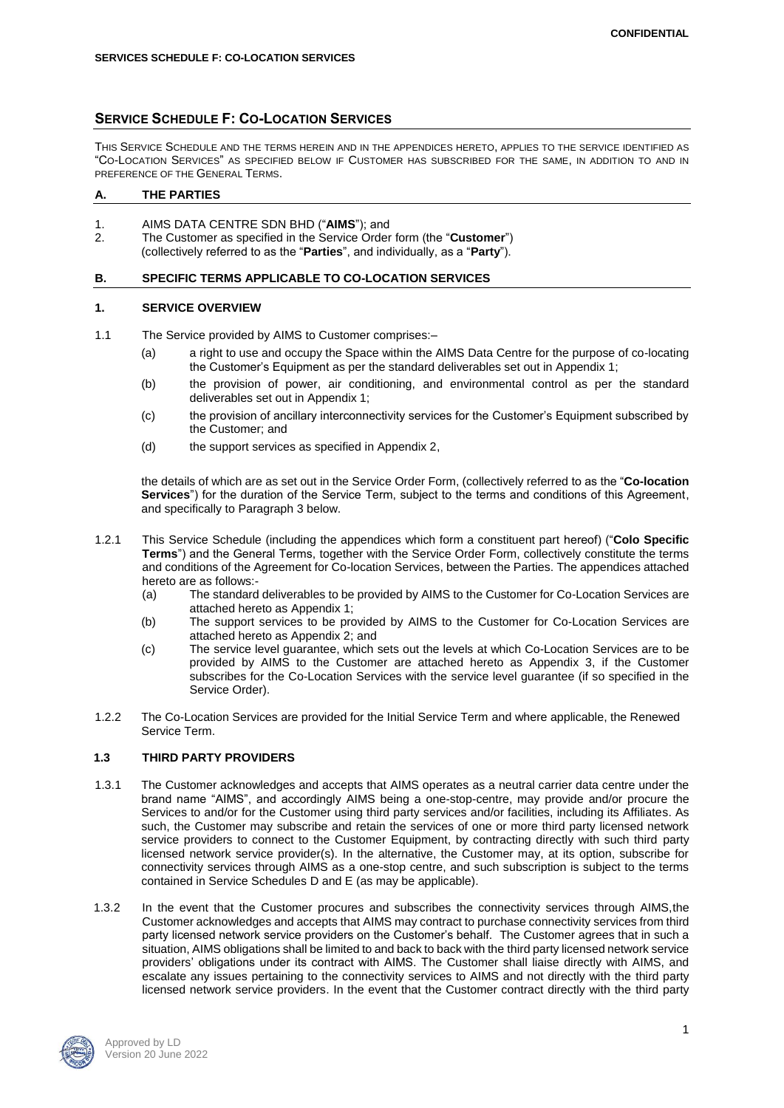# **SERVICE SCHEDULE F: CO-LOCATION SERVICES**

THIS SERVICE SCHEDULE AND THE TERMS HEREIN AND IN THE APPENDICES HERETO, APPLIES TO THE SERVICE IDENTIFIED AS "CO-LOCATION SERVICES" AS SPECIFIED BELOW IF CUSTOMER HAS SUBSCRIBED FOR THE SAME, IN ADDITION TO AND IN PREFERENCE OF THE GENERAL TERMS.

# **A. THE PARTIES**

- 1. AIMS DATA CENTRE SDN BHD ("**AIMS**"); and
- 2. The Customer as specified in the Service Order form (the "**Customer**") (collectively referred to as the "**Parties**", and individually, as a "**Party**").

### **B. SPECIFIC TERMS APPLICABLE TO CO-LOCATION SERVICES**

### **1. SERVICE OVERVIEW**

- 1.1 The Service provided by AIMS to Customer comprises:–
	- (a) a right to use and occupy the Space within the AIMS Data Centre for the purpose of co-locating the Customer's Equipment as per the standard deliverables set out in Appendix 1;
	- (b) the provision of power, air conditioning, and environmental control as per the standard deliverables set out in Appendix 1;
	- (c) the provision of ancillary interconnectivity services for the Customer's Equipment subscribed by the Customer; and
	- (d) the support services as specified in Appendix 2,

the details of which are as set out in the Service Order Form, (collectively referred to as the "**Co-location Services**") for the duration of the Service Term, subject to the terms and conditions of this Agreement, and specifically to Paragraph 3 below.

- 1.2.1 This Service Schedule (including the appendices which form a constituent part hereof) ("**Colo Specific Terms**") and the General Terms, together with the Service Order Form, collectively constitute the terms and conditions of the Agreement for Co-location Services, between the Parties. The appendices attached hereto are as follows:-
	- (a) The standard deliverables to be provided by AIMS to the Customer for Co-Location Services are attached hereto as Appendix 1;
	- (b) The support services to be provided by AIMS to the Customer for Co-Location Services are attached hereto as Appendix 2; and
	- (c) The service level guarantee, which sets out the levels at which Co-Location Services are to be provided by AIMS to the Customer are attached hereto as Appendix 3, if the Customer subscribes for the Co-Location Services with the service level guarantee (if so specified in the Service Order).
- 1.2.2 The Co-Location Services are provided for the Initial Service Term and where applicable, the Renewed Service Term.

## **1.3 THIRD PARTY PROVIDERS**

- 1.3.1 The Customer acknowledges and accepts that AIMS operates as a neutral carrier data centre under the brand name "AIMS", and accordingly AIMS being a one-stop-centre, may provide and/or procure the Services to and/or for the Customer using third party services and/or facilities, including its Affiliates. As such, the Customer may subscribe and retain the services of one or more third party licensed network service providers to connect to the Customer Equipment, by contracting directly with such third party licensed network service provider(s). In the alternative, the Customer may, at its option, subscribe for connectivity services through AIMS as a one-stop centre, and such subscription is subject to the terms contained in Service Schedules D and E (as may be applicable).
- 1.3.2 In the event that the Customer procures and subscribes the connectivity services through AIMS,the Customer acknowledges and accepts that AIMS may contract to purchase connectivity services from third party licensed network service providers on the Customer's behalf. The Customer agrees that in such a situation, AIMS obligations shall be limited to and back to back with the third party licensed network service providers' obligations under its contract with AIMS. The Customer shall liaise directly with AIMS, and escalate any issues pertaining to the connectivity services to AIMS and not directly with the third party licensed network service providers. In the event that the Customer contract directly with the third party

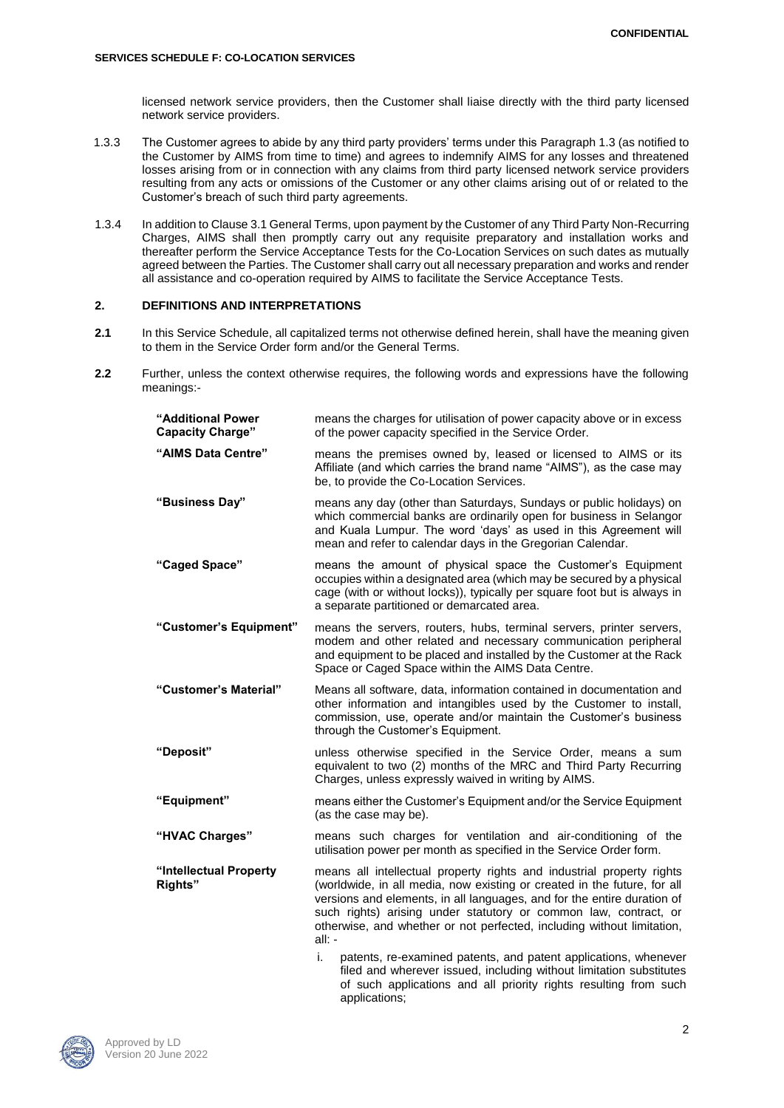licensed network service providers, then the Customer shall liaise directly with the third party licensed network service providers.

- 1.3.3 The Customer agrees to abide by any third party providers' terms under this Paragraph 1.3 (as notified to the Customer by AIMS from time to time) and agrees to indemnify AIMS for any losses and threatened losses arising from or in connection with any claims from third party licensed network service providers resulting from any acts or omissions of the Customer or any other claims arising out of or related to the Customer's breach of such third party agreements.
- 1.3.4 In addition to Clause 3.1 General Terms, upon payment by the Customer of any Third Party Non-Recurring Charges, AIMS shall then promptly carry out any requisite preparatory and installation works and thereafter perform the Service Acceptance Tests for the Co-Location Services on such dates as mutually agreed between the Parties. The Customer shall carry out all necessary preparation and works and render all assistance and co-operation required by AIMS to facilitate the Service Acceptance Tests.

# **2. DEFINITIONS AND INTERPRETATIONS**

- **2.1** In this Service Schedule, all capitalized terms not otherwise defined herein, shall have the meaning given to them in the Service Order form and/or the General Terms.
- **2.2** Further, unless the context otherwise requires, the following words and expressions have the following meanings:-

| "Additional Power<br><b>Capacity Charge"</b> | means the charges for utilisation of power capacity above or in excess<br>of the power capacity specified in the Service Order.                                                                                                                                                                                                                                                                                                                                                                                                                           |  |  |
|----------------------------------------------|-----------------------------------------------------------------------------------------------------------------------------------------------------------------------------------------------------------------------------------------------------------------------------------------------------------------------------------------------------------------------------------------------------------------------------------------------------------------------------------------------------------------------------------------------------------|--|--|
| "AIMS Data Centre"                           | means the premises owned by, leased or licensed to AIMS or its<br>Affiliate (and which carries the brand name "AIMS"), as the case may<br>be, to provide the Co-Location Services.                                                                                                                                                                                                                                                                                                                                                                        |  |  |
| "Business Day"                               | means any day (other than Saturdays, Sundays or public holidays) on<br>which commercial banks are ordinarily open for business in Selangor<br>and Kuala Lumpur. The word 'days' as used in this Agreement will<br>mean and refer to calendar days in the Gregorian Calendar.                                                                                                                                                                                                                                                                              |  |  |
| "Caged Space"                                | means the amount of physical space the Customer's Equipment<br>occupies within a designated area (which may be secured by a physical<br>cage (with or without locks)), typically per square foot but is always in<br>a separate partitioned or demarcated area.                                                                                                                                                                                                                                                                                           |  |  |
| "Customer's Equipment"                       | means the servers, routers, hubs, terminal servers, printer servers,<br>modem and other related and necessary communication peripheral<br>and equipment to be placed and installed by the Customer at the Rack<br>Space or Caged Space within the AIMS Data Centre.                                                                                                                                                                                                                                                                                       |  |  |
| "Customer's Material"                        | Means all software, data, information contained in documentation and<br>other information and intangibles used by the Customer to install,<br>commission, use, operate and/or maintain the Customer's business<br>through the Customer's Equipment.                                                                                                                                                                                                                                                                                                       |  |  |
| "Deposit"                                    | unless otherwise specified in the Service Order, means a sum<br>equivalent to two (2) months of the MRC and Third Party Recurring<br>Charges, unless expressly waived in writing by AIMS.                                                                                                                                                                                                                                                                                                                                                                 |  |  |
| "Equipment"                                  | means either the Customer's Equipment and/or the Service Equipment<br>(as the case may be).                                                                                                                                                                                                                                                                                                                                                                                                                                                               |  |  |
| "HVAC Charges"                               | means such charges for ventilation and air-conditioning of the<br>utilisation power per month as specified in the Service Order form.                                                                                                                                                                                                                                                                                                                                                                                                                     |  |  |
| "Intellectual Property<br>Rights"            | means all intellectual property rights and industrial property rights<br>(worldwide, in all media, now existing or created in the future, for all<br>versions and elements, in all languages, and for the entire duration of<br>such rights) arising under statutory or common law, contract, or<br>otherwise, and whether or not perfected, including without limitation,<br>$all: -$<br>patents, re-examined patents, and patent applications, whenever<br>i.<br>an al contra construção de construir de calendario de contrato como literatural de con |  |  |

filed and wherever issued, including without limitation substitutes of such applications and all priority rights resulting from such applications;

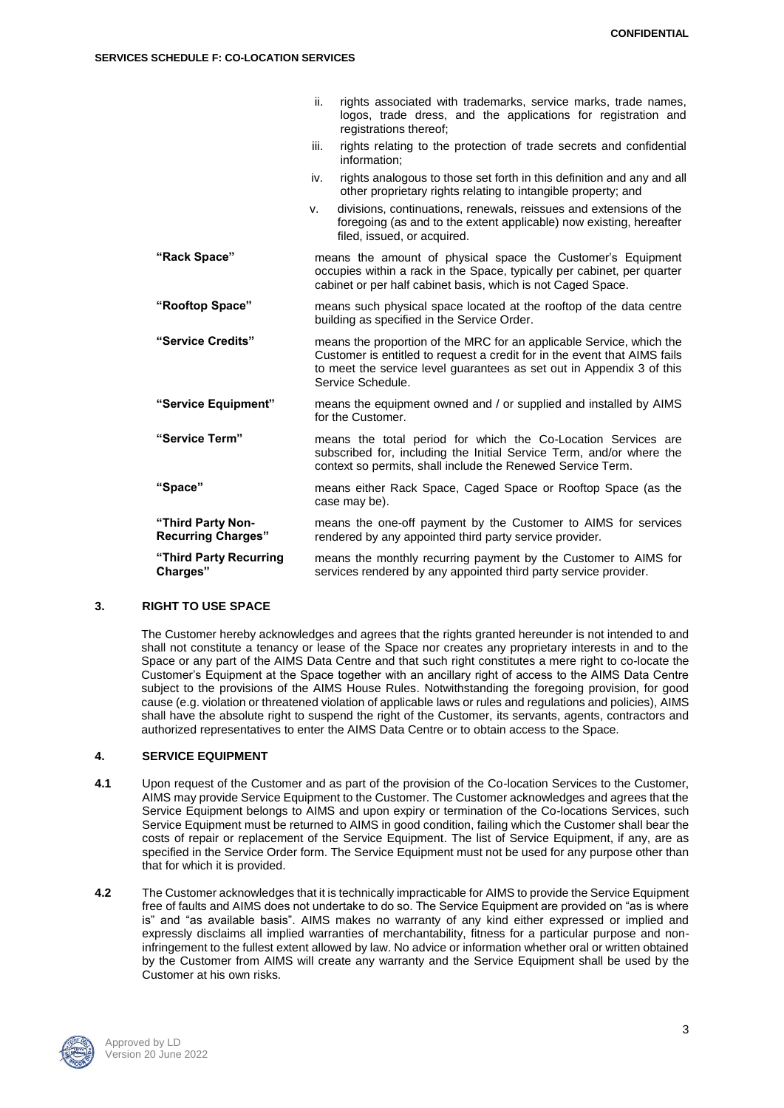#### **SERVICES SCHEDULE F: CO-LOCATION SERVICES**

|                                                | rights associated with trademarks, service marks, trade names,<br>ii.<br>logos, trade dress, and the applications for registration and<br>registrations thereof;                                                                                |  |  |
|------------------------------------------------|-------------------------------------------------------------------------------------------------------------------------------------------------------------------------------------------------------------------------------------------------|--|--|
|                                                | rights relating to the protection of trade secrets and confidential<br>iii.<br>information:                                                                                                                                                     |  |  |
|                                                | rights analogous to those set forth in this definition and any and all<br>iv.<br>other proprietary rights relating to intangible property; and                                                                                                  |  |  |
|                                                | divisions, continuations, renewals, reissues and extensions of the<br>v.<br>foregoing (as and to the extent applicable) now existing, hereafter<br>filed, issued, or acquired.                                                                  |  |  |
| "Rack Space"                                   | means the amount of physical space the Customer's Equipment<br>occupies within a rack in the Space, typically per cabinet, per quarter<br>cabinet or per half cabinet basis, which is not Caged Space.                                          |  |  |
| "Rooftop Space"                                | means such physical space located at the rooftop of the data centre<br>building as specified in the Service Order.                                                                                                                              |  |  |
| "Service Credits"                              | means the proportion of the MRC for an applicable Service, which the<br>Customer is entitled to request a credit for in the event that AIMS fails<br>to meet the service level quarantees as set out in Appendix 3 of this<br>Service Schedule. |  |  |
| "Service Equipment"                            | means the equipment owned and / or supplied and installed by AIMS<br>for the Customer.                                                                                                                                                          |  |  |
| "Service Term"                                 | means the total period for which the Co-Location Services are<br>subscribed for, including the Initial Service Term, and/or where the<br>context so permits, shall include the Renewed Service Term.                                            |  |  |
| "Space"                                        | means either Rack Space, Caged Space or Rooftop Space (as the<br>case may be).                                                                                                                                                                  |  |  |
| "Third Party Non-<br><b>Recurring Charges"</b> | means the one-off payment by the Customer to AIMS for services<br>rendered by any appointed third party service provider.                                                                                                                       |  |  |
| "Third Party Recurring<br>Charges"             | means the monthly recurring payment by the Customer to AIMS for<br>services rendered by any appointed third party service provider.                                                                                                             |  |  |
|                                                |                                                                                                                                                                                                                                                 |  |  |

# **3. RIGHT TO USE SPACE**

The Customer hereby acknowledges and agrees that the rights granted hereunder is not intended to and shall not constitute a tenancy or lease of the Space nor creates any proprietary interests in and to the Space or any part of the AIMS Data Centre and that such right constitutes a mere right to co-locate the Customer's Equipment at the Space together with an ancillary right of access to the AIMS Data Centre subject to the provisions of the AIMS House Rules. Notwithstanding the foregoing provision, for good cause (e.g. violation or threatened violation of applicable laws or rules and regulations and policies), AIMS shall have the absolute right to suspend the right of the Customer, its servants, agents, contractors and authorized representatives to enter the AIMS Data Centre or to obtain access to the Space.

### **4. SERVICE EQUIPMENT**

- **4.1** Upon request of the Customer and as part of the provision of the Co-location Services to the Customer, AIMS may provide Service Equipment to the Customer. The Customer acknowledges and agrees that the Service Equipment belongs to AIMS and upon expiry or termination of the Co-locations Services, such Service Equipment must be returned to AIMS in good condition, failing which the Customer shall bear the costs of repair or replacement of the Service Equipment. The list of Service Equipment, if any, are as specified in the Service Order form. The Service Equipment must not be used for any purpose other than that for which it is provided.
- **4.2** The Customer acknowledges that it is technically impracticable for AIMS to provide the Service Equipment free of faults and AIMS does not undertake to do so. The Service Equipment are provided on "as is where is" and "as available basis". AIMS makes no warranty of any kind either expressed or implied and expressly disclaims all implied warranties of merchantability, fitness for a particular purpose and noninfringement to the fullest extent allowed by law. No advice or information whether oral or written obtained by the Customer from AIMS will create any warranty and the Service Equipment shall be used by the Customer at his own risks.

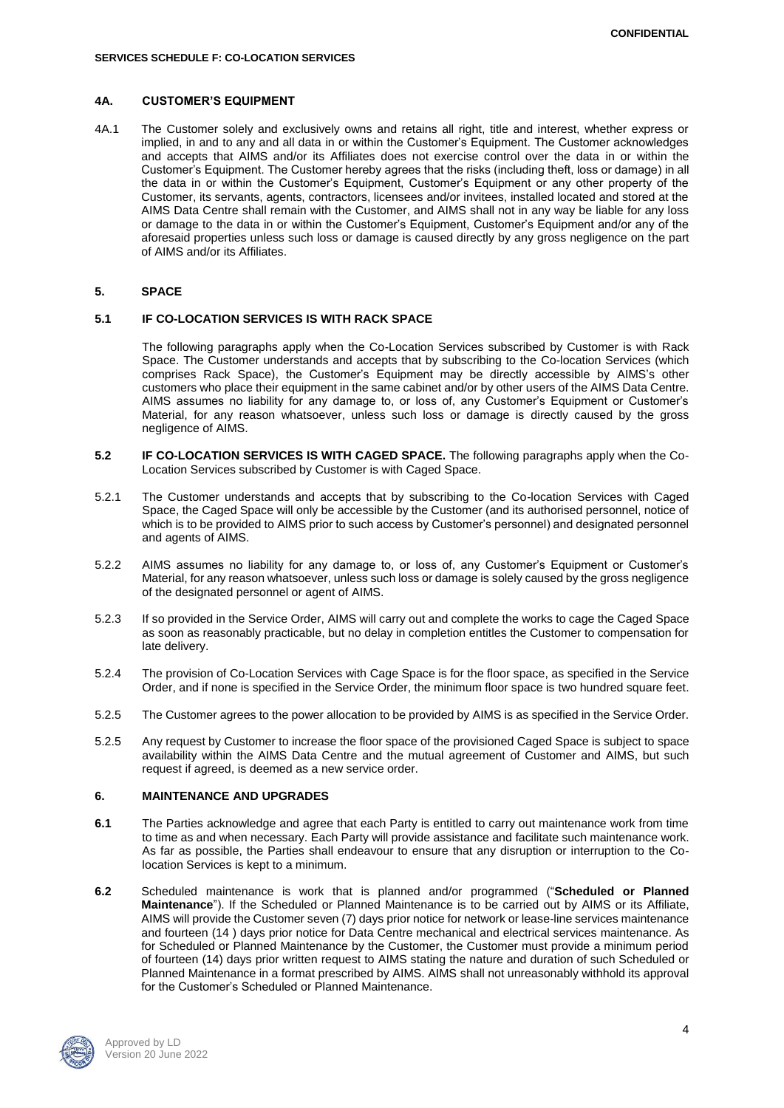## **4A. CUSTOMER'S EQUIPMENT**

4A.1 The Customer solely and exclusively owns and retains all right, title and interest, whether express or implied, in and to any and all data in or within the Customer's Equipment. The Customer acknowledges and accepts that AIMS and/or its Affiliates does not exercise control over the data in or within the Customer's Equipment. The Customer hereby agrees that the risks (including theft, loss or damage) in all the data in or within the Customer's Equipment, Customer's Equipment or any other property of the Customer, its servants, agents, contractors, licensees and/or invitees, installed located and stored at the AIMS Data Centre shall remain with the Customer, and AIMS shall not in any way be liable for any loss or damage to the data in or within the Customer's Equipment, Customer's Equipment and/or any of the aforesaid properties unless such loss or damage is caused directly by any gross negligence on the part of AIMS and/or its Affiliates.

### **5. SPACE**

### **5.1 IF CO-LOCATION SERVICES IS WITH RACK SPACE**

The following paragraphs apply when the Co-Location Services subscribed by Customer is with Rack Space. The Customer understands and accepts that by subscribing to the Co-location Services (which comprises Rack Space), the Customer's Equipment may be directly accessible by AIMS's other customers who place their equipment in the same cabinet and/or by other users of the AIMS Data Centre. AIMS assumes no liability for any damage to, or loss of, any Customer's Equipment or Customer's Material, for any reason whatsoever, unless such loss or damage is directly caused by the gross negligence of AIMS.

- **5.2 IF CO-LOCATION SERVICES IS WITH CAGED SPACE.** The following paragraphs apply when the Co-Location Services subscribed by Customer is with Caged Space.
- 5.2.1 The Customer understands and accepts that by subscribing to the Co-location Services with Caged Space, the Caged Space will only be accessible by the Customer (and its authorised personnel, notice of which is to be provided to AIMS prior to such access by Customer's personnel) and designated personnel and agents of AIMS.
- 5.2.2 AIMS assumes no liability for any damage to, or loss of, any Customer's Equipment or Customer's Material, for any reason whatsoever, unless such loss or damage is solely caused by the gross negligence of the designated personnel or agent of AIMS.
- 5.2.3 If so provided in the Service Order, AIMS will carry out and complete the works to cage the Caged Space as soon as reasonably practicable, but no delay in completion entitles the Customer to compensation for late delivery.
- 5.2.4 The provision of Co-Location Services with Cage Space is for the floor space, as specified in the Service Order, and if none is specified in the Service Order, the minimum floor space is two hundred square feet.
- 5.2.5 The Customer agrees to the power allocation to be provided by AIMS is as specified in the Service Order.
- 5.2.5 Any request by Customer to increase the floor space of the provisioned Caged Space is subject to space availability within the AIMS Data Centre and the mutual agreement of Customer and AIMS, but such request if agreed, is deemed as a new service order.

#### **6. MAINTENANCE AND UPGRADES**

- **6.1** The Parties acknowledge and agree that each Party is entitled to carry out maintenance work from time to time as and when necessary. Each Party will provide assistance and facilitate such maintenance work. As far as possible, the Parties shall endeavour to ensure that any disruption or interruption to the Colocation Services is kept to a minimum.
- **6.2** Scheduled maintenance is work that is planned and/or programmed ("**Scheduled or Planned Maintenance**"). If the Scheduled or Planned Maintenance is to be carried out by AIMS or its Affiliate, AIMS will provide the Customer seven (7) days prior notice for network or lease-line services maintenance and fourteen (14 ) days prior notice for Data Centre mechanical and electrical services maintenance. As for Scheduled or Planned Maintenance by the Customer, the Customer must provide a minimum period of fourteen (14) days prior written request to AIMS stating the nature and duration of such Scheduled or Planned Maintenance in a format prescribed by AIMS. AIMS shall not unreasonably withhold its approval for the Customer's Scheduled or Planned Maintenance.

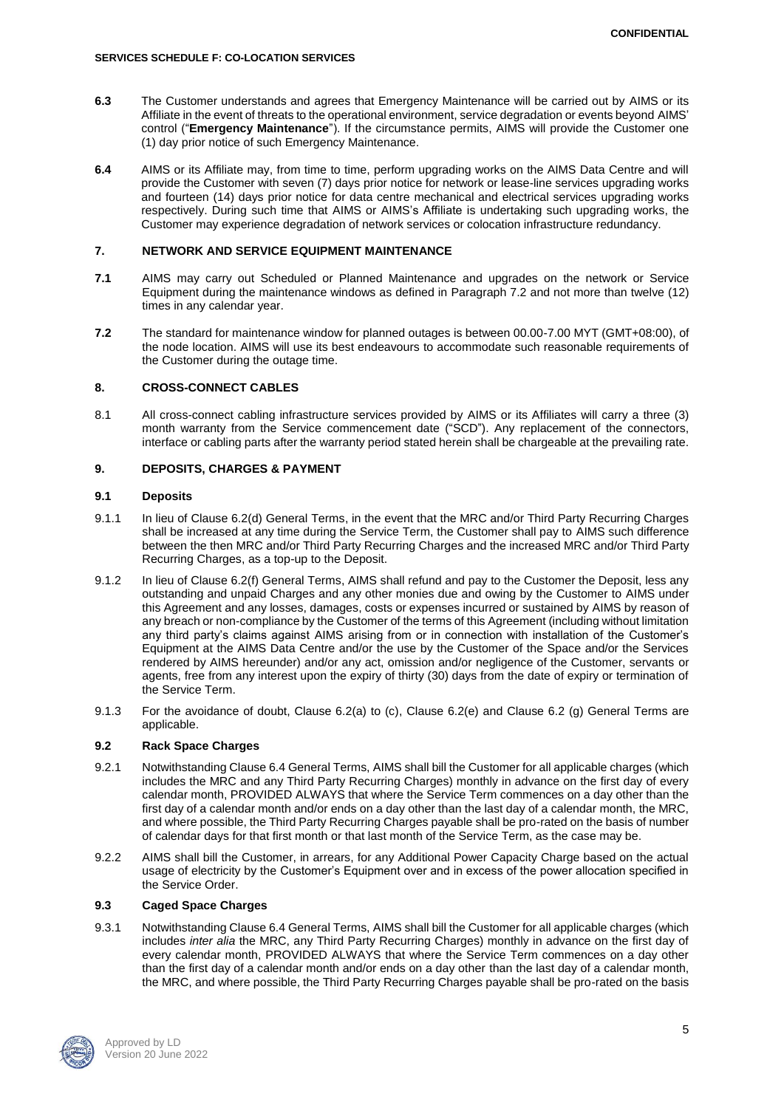- **6.3** The Customer understands and agrees that Emergency Maintenance will be carried out by AIMS or its Affiliate in the event of threats to the operational environment, service degradation or events beyond AIMS' control ("**Emergency Maintenance**"). If the circumstance permits, AIMS will provide the Customer one (1) day prior notice of such Emergency Maintenance.
- **6.4** AIMS or its Affiliate may, from time to time, perform upgrading works on the AIMS Data Centre and will provide the Customer with seven (7) days prior notice for network or lease-line services upgrading works and fourteen (14) days prior notice for data centre mechanical and electrical services upgrading works respectively. During such time that AIMS or AIMS's Affiliate is undertaking such upgrading works, the Customer may experience degradation of network services or colocation infrastructure redundancy.

# **7. NETWORK AND SERVICE EQUIPMENT MAINTENANCE**

- **7.1** AIMS may carry out Scheduled or Planned Maintenance and upgrades on the network or Service Equipment during the maintenance windows as defined in Paragraph 7.2 and not more than twelve (12) times in any calendar year.
- **7.2** The standard for maintenance window for planned outages is between 00.00-7.00 MYT (GMT+08:00), of the node location. AIMS will use its best endeavours to accommodate such reasonable requirements of the Customer during the outage time.

# **8. CROSS-CONNECT CABLES**

8.1 All cross-connect cabling infrastructure services provided by AIMS or its Affiliates will carry a three (3) month warranty from the Service commencement date ("SCD"). Any replacement of the connectors, interface or cabling parts after the warranty period stated herein shall be chargeable at the prevailing rate.

# **9. DEPOSITS, CHARGES & PAYMENT**

# **9.1 Deposits**

- 9.1.1 In lieu of Clause 6.2(d) General Terms, in the event that the MRC and/or Third Party Recurring Charges shall be increased at any time during the Service Term, the Customer shall pay to AIMS such difference between the then MRC and/or Third Party Recurring Charges and the increased MRC and/or Third Party Recurring Charges, as a top-up to the Deposit.
- 9.1.2 In lieu of Clause 6.2(f) General Terms, AIMS shall refund and pay to the Customer the Deposit, less any outstanding and unpaid Charges and any other monies due and owing by the Customer to AIMS under this Agreement and any losses, damages, costs or expenses incurred or sustained by AIMS by reason of any breach or non-compliance by the Customer of the terms of this Agreement (including without limitation any third party's claims against AIMS arising from or in connection with installation of the Customer's Equipment at the AIMS Data Centre and/or the use by the Customer of the Space and/or the Services rendered by AIMS hereunder) and/or any act, omission and/or negligence of the Customer, servants or agents, free from any interest upon the expiry of thirty (30) days from the date of expiry or termination of the Service Term.
- 9.1.3 For the avoidance of doubt, Clause 6.2(a) to (c), Clause 6.2(e) and Clause 6.2 (g) General Terms are applicable.

## **9.2 Rack Space Charges**

- 9.2.1 Notwithstanding Clause 6.4 General Terms, AIMS shall bill the Customer for all applicable charges (which includes the MRC and any Third Party Recurring Charges) monthly in advance on the first day of every calendar month, PROVIDED ALWAYS that where the Service Term commences on a day other than the first day of a calendar month and/or ends on a day other than the last day of a calendar month, the MRC, and where possible, the Third Party Recurring Charges payable shall be pro-rated on the basis of number of calendar days for that first month or that last month of the Service Term, as the case may be.
- 9.2.2 AIMS shall bill the Customer, in arrears, for any Additional Power Capacity Charge based on the actual usage of electricity by the Customer's Equipment over and in excess of the power allocation specified in the Service Order.

# **9.3 Caged Space Charges**

9.3.1 Notwithstanding Clause 6.4 General Terms, AIMS shall bill the Customer for all applicable charges (which includes *inter alia* the MRC, any Third Party Recurring Charges) monthly in advance on the first day of every calendar month, PROVIDED ALWAYS that where the Service Term commences on a day other than the first day of a calendar month and/or ends on a day other than the last day of a calendar month, the MRC, and where possible, the Third Party Recurring Charges payable shall be pro-rated on the basis

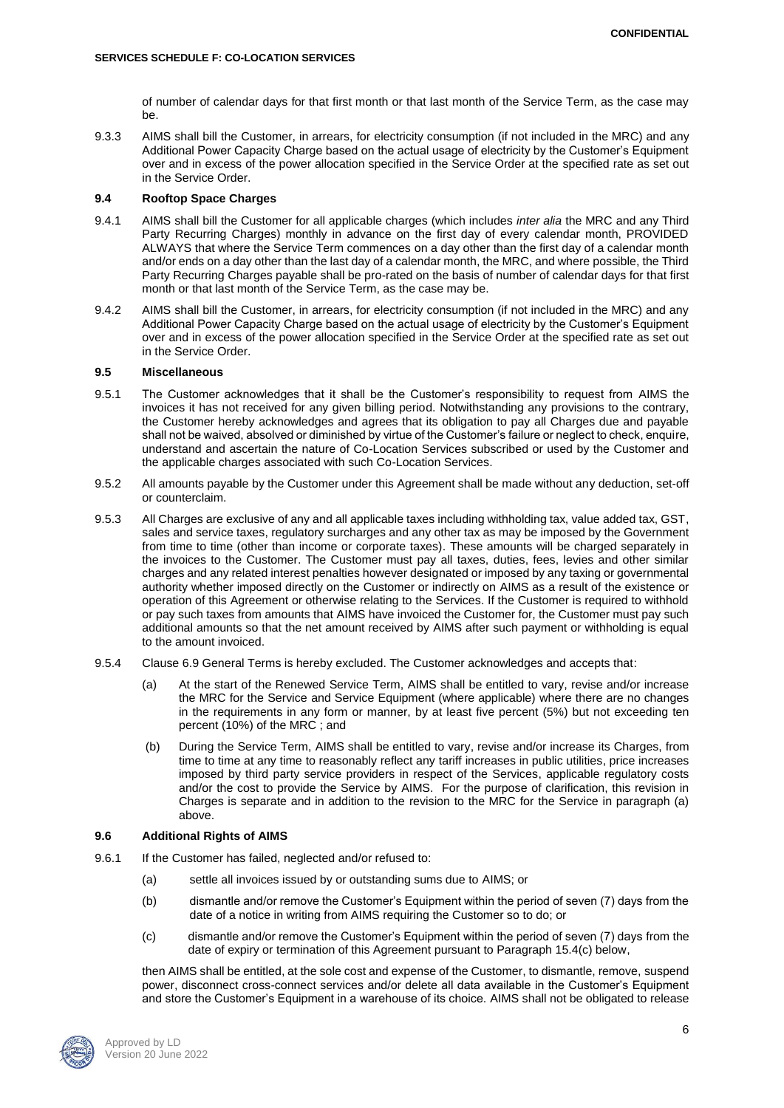of number of calendar days for that first month or that last month of the Service Term, as the case may be.

9.3.3 AIMS shall bill the Customer, in arrears, for electricity consumption (if not included in the MRC) and any Additional Power Capacity Charge based on the actual usage of electricity by the Customer's Equipment over and in excess of the power allocation specified in the Service Order at the specified rate as set out in the Service Order.

### **9.4 Rooftop Space Charges**

- 9.4.1 AIMS shall bill the Customer for all applicable charges (which includes *inter alia* the MRC and any Third Party Recurring Charges) monthly in advance on the first day of every calendar month, PROVIDED ALWAYS that where the Service Term commences on a day other than the first day of a calendar month and/or ends on a day other than the last day of a calendar month, the MRC, and where possible, the Third Party Recurring Charges payable shall be pro-rated on the basis of number of calendar days for that first month or that last month of the Service Term, as the case may be.
- 9.4.2 AIMS shall bill the Customer, in arrears, for electricity consumption (if not included in the MRC) and any Additional Power Capacity Charge based on the actual usage of electricity by the Customer's Equipment over and in excess of the power allocation specified in the Service Order at the specified rate as set out in the Service Order.

### **9.5 Miscellaneous**

- 9.5.1 The Customer acknowledges that it shall be the Customer's responsibility to request from AIMS the invoices it has not received for any given billing period. Notwithstanding any provisions to the contrary, the Customer hereby acknowledges and agrees that its obligation to pay all Charges due and payable shall not be waived, absolved or diminished by virtue of the Customer's failure or neglect to check, enquire, understand and ascertain the nature of Co-Location Services subscribed or used by the Customer and the applicable charges associated with such Co-Location Services.
- 9.5.2 All amounts payable by the Customer under this Agreement shall be made without any deduction, set-off or counterclaim.
- 9.5.3 All Charges are exclusive of any and all applicable taxes including withholding tax, value added tax, GST, sales and service taxes, regulatory surcharges and any other tax as may be imposed by the Government from time to time (other than income or corporate taxes). These amounts will be charged separately in the invoices to the Customer. The Customer must pay all taxes, duties, fees, levies and other similar charges and any related interest penalties however designated or imposed by any taxing or governmental authority whether imposed directly on the Customer or indirectly on AIMS as a result of the existence or operation of this Agreement or otherwise relating to the Services. If the Customer is required to withhold or pay such taxes from amounts that AIMS have invoiced the Customer for, the Customer must pay such additional amounts so that the net amount received by AIMS after such payment or withholding is equal to the amount invoiced.
- 9.5.4 Clause 6.9 General Terms is hereby excluded. The Customer acknowledges and accepts that:
	- (a) At the start of the Renewed Service Term, AIMS shall be entitled to vary, revise and/or increase the MRC for the Service and Service Equipment (where applicable) where there are no changes in the requirements in any form or manner, by at least five percent (5%) but not exceeding ten percent (10%) of the MRC ; and
	- (b) During the Service Term, AIMS shall be entitled to vary, revise and/or increase its Charges, from time to time at any time to reasonably reflect any tariff increases in public utilities, price increases imposed by third party service providers in respect of the Services, applicable regulatory costs and/or the cost to provide the Service by AIMS. For the purpose of clarification, this revision in Charges is separate and in addition to the revision to the MRC for the Service in paragraph (a) above.

## **9.6 Additional Rights of AIMS**

- 9.6.1 If the Customer has failed, neglected and/or refused to:
	- (a) settle all invoices issued by or outstanding sums due to AIMS; or
	- (b) dismantle and/or remove the Customer's Equipment within the period of seven (7) days from the date of a notice in writing from AIMS requiring the Customer so to do; or
	- (c) dismantle and/or remove the Customer's Equipment within the period of seven (7) days from the date of expiry or termination of this Agreement pursuant to Paragraph 15.4(c) below,

then AIMS shall be entitled, at the sole cost and expense of the Customer, to dismantle, remove, suspend power, disconnect cross-connect services and/or delete all data available in the Customer's Equipment and store the Customer's Equipment in a warehouse of its choice. AIMS shall not be obligated to release

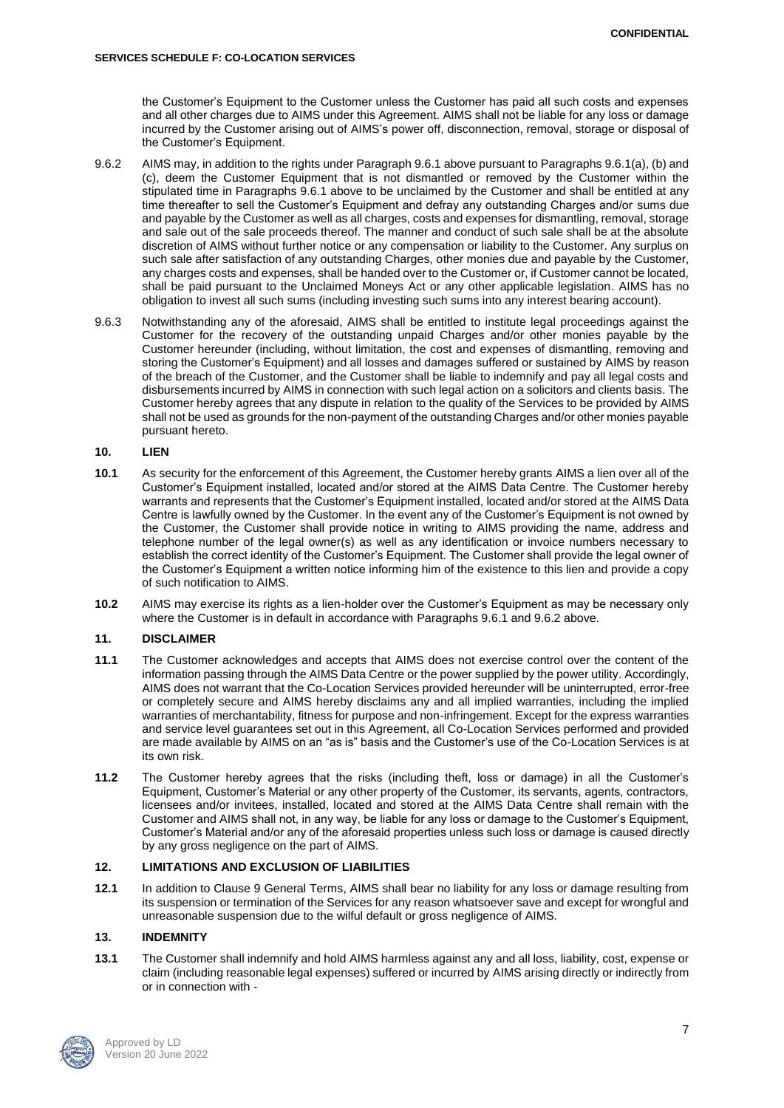the Customer's Equipment to the Customer unless the Customer has paid all such costs and expenses and all other charges due to AIMS under this Agreement. AIMS shall not be liable for any loss or damage incurred by the Customer arising out of AIMS's power off, disconnection, removal, storage or disposal of the Customer's Equipment.

- 9.6.2 AIMS may, in addition to the rights under Paragraph 9.6.1 above pursuant to Paragraphs 9.6.1(a), (b) and (c), deem the Customer Equipment that is not dismantled or removed by the Customer within the stipulated time in Paragraphs 9.6.1 above to be unclaimed by the Customer and shall be entitled at any time thereafter to sell the Customer's Equipment and defray any outstanding Charges and/or sums due and payable by the Customer as well as all charges, costs and expenses for dismantling, removal, storage and sale out of the sale proceeds thereof. The manner and conduct of such sale shall be at the absolute discretion of AIMS without further notice or any compensation or liability to the Customer. Any surplus on such sale after satisfaction of any outstanding Charges, other monies due and payable by the Customer, any charges costs and expenses, shall be handed over to the Customer or, if Customer cannot be located, shall be paid pursuant to the Unclaimed Moneys Act or any other applicable legislation. AIMS has no obligation to invest all such sums (including investing such sums into any interest bearing account).
- 9.6.3 Notwithstanding any of the aforesaid, AIMS shall be entitled to institute legal proceedings against the Customer for the recovery of the outstanding unpaid Charges and/or other monies payable by the Customer hereunder (including, without limitation, the cost and expenses of dismantling, removing and storing the Customer's Equipment) and all losses and damages suffered or sustained by AIMS by reason of the breach of the Customer, and the Customer shall be liable to indemnify and pay all legal costs and disbursements incurred by AIMS in connection with such legal action on a solicitors and clients basis. The Customer hereby agrees that any dispute in relation to the quality of the Services to be provided by AIMS shall not be used as grounds for the non-payment of the outstanding Charges and/or other monies payable pursuant hereto.

## **10. LIEN**

- **10.1** As security for the enforcement of this Agreement, the Customer hereby grants AIMS a lien over all of the Customer's Equipment installed, located and/or stored at the AIMS Data Centre. The Customer hereby warrants and represents that the Customer's Equipment installed, located and/or stored at the AIMS Data Centre is lawfully owned by the Customer. In the event any of the Customer's Equipment is not owned by the Customer, the Customer shall provide notice in writing to AIMS providing the name, address and telephone number of the legal owner(s) as well as any identification or invoice numbers necessary to establish the correct identity of the Customer's Equipment. The Customer shall provide the legal owner of the Customer's Equipment a written notice informing him of the existence to this lien and provide a copy of such notification to AIMS.
- **10.2** AIMS may exercise its rights as a lien-holder over the Customer's Equipment as may be necessary only where the Customer is in default in accordance with Paragraphs 9.6.1 and 9.6.2 above.

# **11. DISCLAIMER**

- **11.1** The Customer acknowledges and accepts that AIMS does not exercise control over the content of the information passing through the AIMS Data Centre or the power supplied by the power utility. Accordingly, AIMS does not warrant that the Co-Location Services provided hereunder will be uninterrupted, error-free or completely secure and AIMS hereby disclaims any and all implied warranties, including the implied warranties of merchantability, fitness for purpose and non-infringement. Except for the express warranties and service level guarantees set out in this Agreement, all Co-Location Services performed and provided are made available by AIMS on an "as is" basis and the Customer's use of the Co-Location Services is at its own risk.
- **11.2** The Customer hereby agrees that the risks (including theft, loss or damage) in all the Customer's Equipment, Customer's Material or any other property of the Customer, its servants, agents, contractors, licensees and/or invitees, installed, located and stored at the AIMS Data Centre shall remain with the Customer and AIMS shall not, in any way, be liable for any loss or damage to the Customer's Equipment, Customer's Material and/or any of the aforesaid properties unless such loss or damage is caused directly by any gross negligence on the part of AIMS.

## **12. LIMITATIONS AND EXCLUSION OF LIABILITIES**

**12.1** In addition to Clause 9 General Terms, AIMS shall bear no liability for any loss or damage resulting from its suspension or termination of the Services for any reason whatsoever save and except for wrongful and unreasonable suspension due to the wilful default or gross negligence of AIMS.

## **13. INDEMNITY**

**13.1** The Customer shall indemnify and hold AIMS harmless against any and all loss, liability, cost, expense or claim (including reasonable legal expenses) suffered or incurred by AIMS arising directly or indirectly from or in connection with -

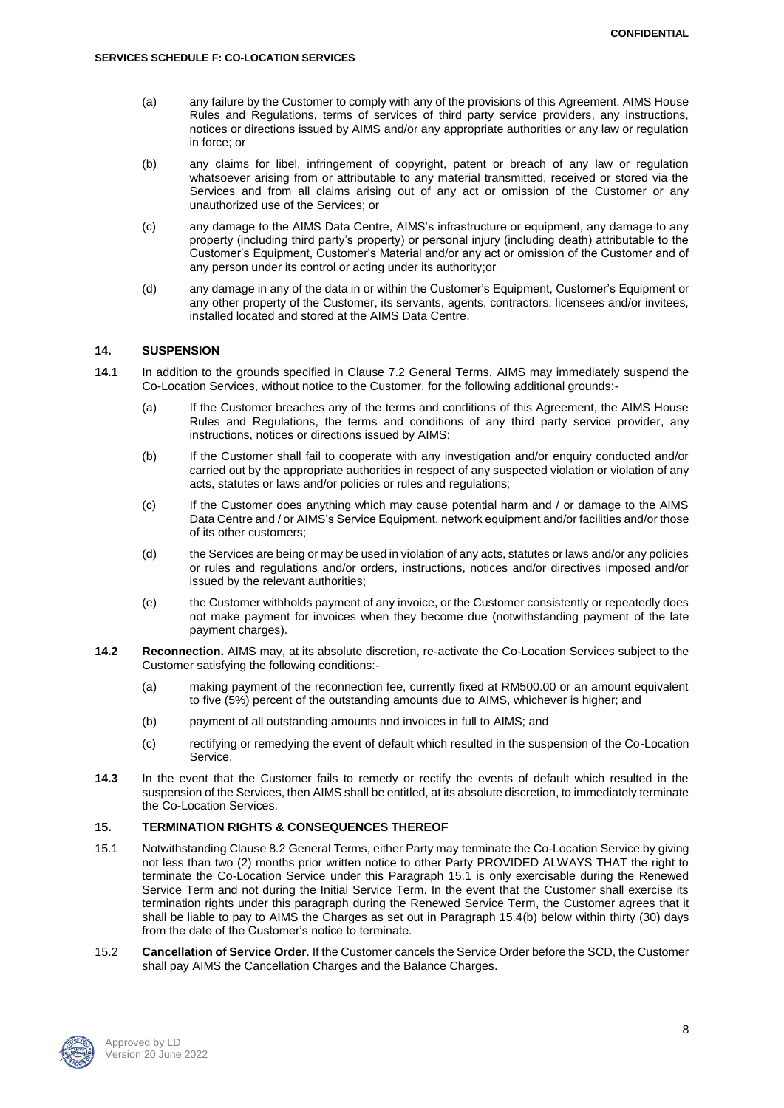- (a) any failure by the Customer to comply with any of the provisions of this Agreement, AIMS House Rules and Regulations, terms of services of third party service providers, any instructions, notices or directions issued by AIMS and/or any appropriate authorities or any law or regulation in force; or
- (b) any claims for libel, infringement of copyright, patent or breach of any law or regulation whatsoever arising from or attributable to any material transmitted, received or stored via the Services and from all claims arising out of any act or omission of the Customer or any unauthorized use of the Services; or
- (c) any damage to the AIMS Data Centre, AIMS's infrastructure or equipment, any damage to any property (including third party's property) or personal injury (including death) attributable to the Customer's Equipment, Customer's Material and/or any act or omission of the Customer and of any person under its control or acting under its authority;or
- (d) any damage in any of the data in or within the Customer's Equipment, Customer's Equipment or any other property of the Customer, its servants, agents, contractors, licensees and/or invitees, installed located and stored at the AIMS Data Centre.

### **14. SUSPENSION**

- **14.1** In addition to the grounds specified in Clause 7.2 General Terms, AIMS may immediately suspend the Co-Location Services, without notice to the Customer, for the following additional grounds:-
	- (a) If the Customer breaches any of the terms and conditions of this Agreement, the AIMS House Rules and Regulations, the terms and conditions of any third party service provider, any instructions, notices or directions issued by AIMS;
	- (b) If the Customer shall fail to cooperate with any investigation and/or enquiry conducted and/or carried out by the appropriate authorities in respect of any suspected violation or violation of any acts, statutes or laws and/or policies or rules and regulations;
	- (c) If the Customer does anything which may cause potential harm and / or damage to the AIMS Data Centre and / or AIMS's Service Equipment, network equipment and/or facilities and/or those of its other customers;
	- (d) the Services are being or may be used in violation of any acts, statutes or laws and/or any policies or rules and regulations and/or orders, instructions, notices and/or directives imposed and/or issued by the relevant authorities;
	- (e) the Customer withholds payment of any invoice, or the Customer consistently or repeatedly does not make payment for invoices when they become due (notwithstanding payment of the late payment charges).
- **14.2 Reconnection.** AIMS may, at its absolute discretion, re-activate the Co-Location Services subject to the Customer satisfying the following conditions:-
	- (a) making payment of the reconnection fee, currently fixed at RM500.00 or an amount equivalent to five (5%) percent of the outstanding amounts due to AIMS, whichever is higher; and
	- (b) payment of all outstanding amounts and invoices in full to AIMS; and
	- (c) rectifying or remedying the event of default which resulted in the suspension of the Co-Location Service.
- **14.3** In the event that the Customer fails to remedy or rectify the events of default which resulted in the suspension of the Services, then AIMS shall be entitled, at its absolute discretion, to immediately terminate the Co-Location Services.

# **15. TERMINATION RIGHTS & CONSEQUENCES THEREOF**

- 15.1 Notwithstanding Clause 8.2 General Terms, either Party may terminate the Co-Location Service by giving not less than two (2) months prior written notice to other Party PROVIDED ALWAYS THAT the right to terminate the Co-Location Service under this Paragraph 15.1 is only exercisable during the Renewed Service Term and not during the Initial Service Term. In the event that the Customer shall exercise its termination rights under this paragraph during the Renewed Service Term, the Customer agrees that it shall be liable to pay to AIMS the Charges as set out in Paragraph 15.4(b) below within thirty (30) days from the date of the Customer's notice to terminate.
- 15.2 **Cancellation of Service Order**. If the Customer cancels the Service Order before the SCD, the Customer shall pay AIMS the Cancellation Charges and the Balance Charges.

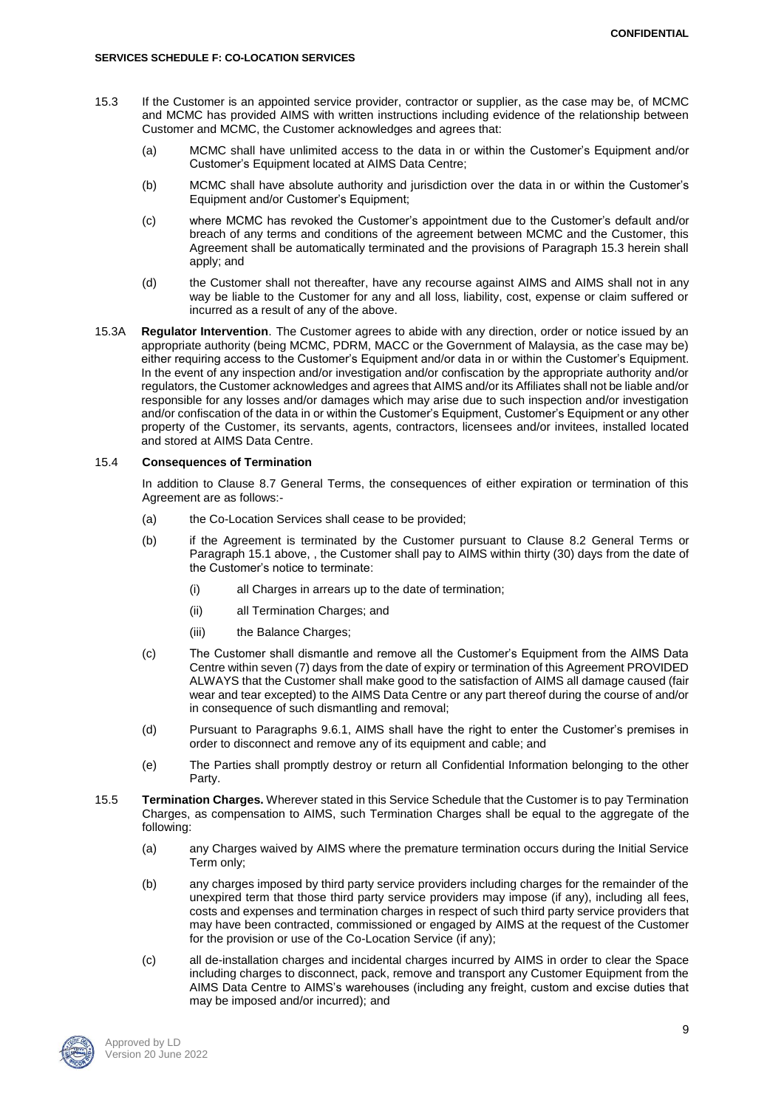- 15.3 If the Customer is an appointed service provider, contractor or supplier, as the case may be, of MCMC and MCMC has provided AIMS with written instructions including evidence of the relationship between Customer and MCMC, the Customer acknowledges and agrees that:
	- (a) MCMC shall have unlimited access to the data in or within the Customer's Equipment and/or Customer's Equipment located at AIMS Data Centre;
	- (b) MCMC shall have absolute authority and jurisdiction over the data in or within the Customer's Equipment and/or Customer's Equipment;
	- (c) where MCMC has revoked the Customer's appointment due to the Customer's default and/or breach of any terms and conditions of the agreement between MCMC and the Customer, this Agreement shall be automatically terminated and the provisions of Paragraph 15.3 herein shall apply; and
	- (d) the Customer shall not thereafter, have any recourse against AIMS and AIMS shall not in any way be liable to the Customer for any and all loss, liability, cost, expense or claim suffered or incurred as a result of any of the above.
- 15.3A **Regulator Intervention**. The Customer agrees to abide with any direction, order or notice issued by an appropriate authority (being MCMC, PDRM, MACC or the Government of Malaysia, as the case may be) either requiring access to the Customer's Equipment and/or data in or within the Customer's Equipment. In the event of any inspection and/or investigation and/or confiscation by the appropriate authority and/or regulators, the Customer acknowledges and agrees that AIMS and/or its Affiliates shall not be liable and/or responsible for any losses and/or damages which may arise due to such inspection and/or investigation and/or confiscation of the data in or within the Customer's Equipment, Customer's Equipment or any other property of the Customer, its servants, agents, contractors, licensees and/or invitees, installed located and stored at AIMS Data Centre.

### 15.4 **Consequences of Termination**

In addition to Clause 8.7 General Terms, the consequences of either expiration or termination of this Agreement are as follows:-

- (a) the Co-Location Services shall cease to be provided;
- (b) if the Agreement is terminated by the Customer pursuant to Clause 8.2 General Terms or Paragraph 15.1 above, , the Customer shall pay to AIMS within thirty (30) days from the date of the Customer's notice to terminate:
	- (i) all Charges in arrears up to the date of termination;
	- (ii) all Termination Charges; and
	- (iii) the Balance Charges;
- (c) The Customer shall dismantle and remove all the Customer's Equipment from the AIMS Data Centre within seven (7) days from the date of expiry or termination of this Agreement PROVIDED ALWAYS that the Customer shall make good to the satisfaction of AIMS all damage caused (fair wear and tear excepted) to the AIMS Data Centre or any part thereof during the course of and/or in consequence of such dismantling and removal;
- (d) Pursuant to Paragraphs 9.6.1, AIMS shall have the right to enter the Customer's premises in order to disconnect and remove any of its equipment and cable; and
- (e) The Parties shall promptly destroy or return all Confidential Information belonging to the other Party.
- 15.5 **Termination Charges.** Wherever stated in this Service Schedule that the Customer is to pay Termination Charges, as compensation to AIMS, such Termination Charges shall be equal to the aggregate of the following:
	- (a) any Charges waived by AIMS where the premature termination occurs during the Initial Service Term only;
	- (b) any charges imposed by third party service providers including charges for the remainder of the unexpired term that those third party service providers may impose (if any), including all fees, costs and expenses and termination charges in respect of such third party service providers that may have been contracted, commissioned or engaged by AIMS at the request of the Customer for the provision or use of the Co-Location Service (if any);
	- (c) all de-installation charges and incidental charges incurred by AIMS in order to clear the Space including charges to disconnect, pack, remove and transport any Customer Equipment from the AIMS Data Centre to AIMS's warehouses (including any freight, custom and excise duties that may be imposed and/or incurred); and

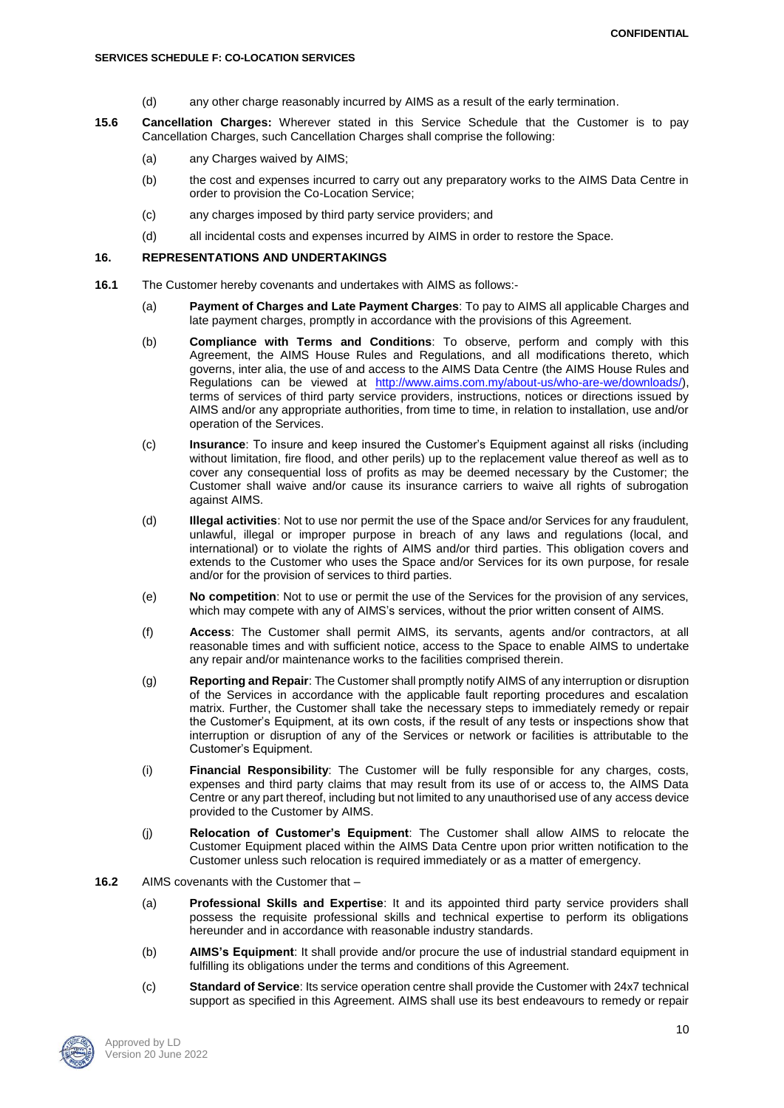- (d) any other charge reasonably incurred by AIMS as a result of the early termination.
- **15.6 Cancellation Charges:** Wherever stated in this Service Schedule that the Customer is to pay Cancellation Charges, such Cancellation Charges shall comprise the following:
	- (a) any Charges waived by AIMS;
	- (b) the cost and expenses incurred to carry out any preparatory works to the AIMS Data Centre in order to provision the Co-Location Service;
	- (c) any charges imposed by third party service providers; and
	- (d) all incidental costs and expenses incurred by AIMS in order to restore the Space.

## **16. REPRESENTATIONS AND UNDERTAKINGS**

- **16.1** The Customer hereby covenants and undertakes with AIMS as follows:-
	- (a) **Payment of Charges and Late Payment Charges**: To pay to AIMS all applicable Charges and late payment charges, promptly in accordance with the provisions of this Agreement.
	- (b) **Compliance with Terms and Conditions**: To observe, perform and comply with this Agreement, the AIMS House Rules and Regulations, and all modifications thereto, which governs, inter alia, the use of and access to the AIMS Data Centre (the AIMS House Rules and Regulations can be viewed at [http://www.aims.com.my/about-us/who-are-we/downloads/\)](http://www.aims.com.my/about-us/who-are-we/downloads/), terms of services of third party service providers, instructions, notices or directions issued by AIMS and/or any appropriate authorities, from time to time, in relation to installation, use and/or operation of the Services.
	- (c) **Insurance**: To insure and keep insured the Customer's Equipment against all risks (including without limitation, fire flood, and other perils) up to the replacement value thereof as well as to cover any consequential loss of profits as may be deemed necessary by the Customer; the Customer shall waive and/or cause its insurance carriers to waive all rights of subrogation against AIMS.
	- (d) **Illegal activities**: Not to use nor permit the use of the Space and/or Services for any fraudulent, unlawful, illegal or improper purpose in breach of any laws and regulations (local, and international) or to violate the rights of AIMS and/or third parties. This obligation covers and extends to the Customer who uses the Space and/or Services for its own purpose, for resale and/or for the provision of services to third parties.
	- (e) **No competition**: Not to use or permit the use of the Services for the provision of any services, which may compete with any of AIMS's services, without the prior written consent of AIMS.
	- (f) **Access**: The Customer shall permit AIMS, its servants, agents and/or contractors, at all reasonable times and with sufficient notice, access to the Space to enable AIMS to undertake any repair and/or maintenance works to the facilities comprised therein.
	- (g) **Reporting and Repair**: The Customer shall promptly notify AIMS of any interruption or disruption of the Services in accordance with the applicable fault reporting procedures and escalation matrix. Further, the Customer shall take the necessary steps to immediately remedy or repair the Customer's Equipment, at its own costs, if the result of any tests or inspections show that interruption or disruption of any of the Services or network or facilities is attributable to the Customer's Equipment.
	- (i) **Financial Responsibility**: The Customer will be fully responsible for any charges, costs, expenses and third party claims that may result from its use of or access to, the AIMS Data Centre or any part thereof, including but not limited to any unauthorised use of any access device provided to the Customer by AIMS.
	- (j) **Relocation of Customer's Equipment**: The Customer shall allow AIMS to relocate the Customer Equipment placed within the AIMS Data Centre upon prior written notification to the Customer unless such relocation is required immediately or as a matter of emergency.
- **16.2** AIMS covenants with the Customer that
	- (a) **Professional Skills and Expertise**: It and its appointed third party service providers shall possess the requisite professional skills and technical expertise to perform its obligations hereunder and in accordance with reasonable industry standards.
	- (b) **AIMS's Equipment**: It shall provide and/or procure the use of industrial standard equipment in fulfilling its obligations under the terms and conditions of this Agreement.
	- (c) **Standard of Service**: Its service operation centre shall provide the Customer with 24x7 technical support as specified in this Agreement. AIMS shall use its best endeavours to remedy or repair

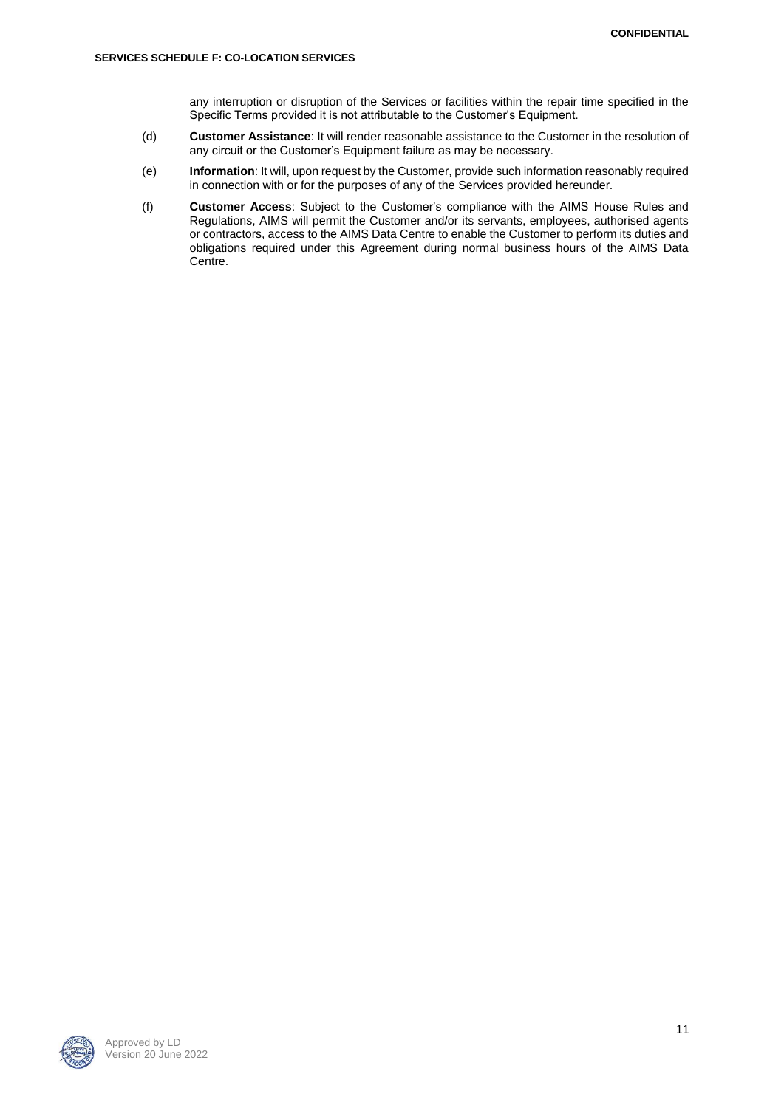any interruption or disruption of the Services or facilities within the repair time specified in the Specific Terms provided it is not attributable to the Customer's Equipment.

- (d) **Customer Assistance**: It will render reasonable assistance to the Customer in the resolution of any circuit or the Customer's Equipment failure as may be necessary.
- (e) **Information**: It will, upon request by the Customer, provide such information reasonably required in connection with or for the purposes of any of the Services provided hereunder.
- (f) **Customer Access**: Subject to the Customer's compliance with the AIMS House Rules and Regulations, AIMS will permit the Customer and/or its servants, employees, authorised agents or contractors, access to the AIMS Data Centre to enable the Customer to perform its duties and obligations required under this Agreement during normal business hours of the AIMS Data Centre.

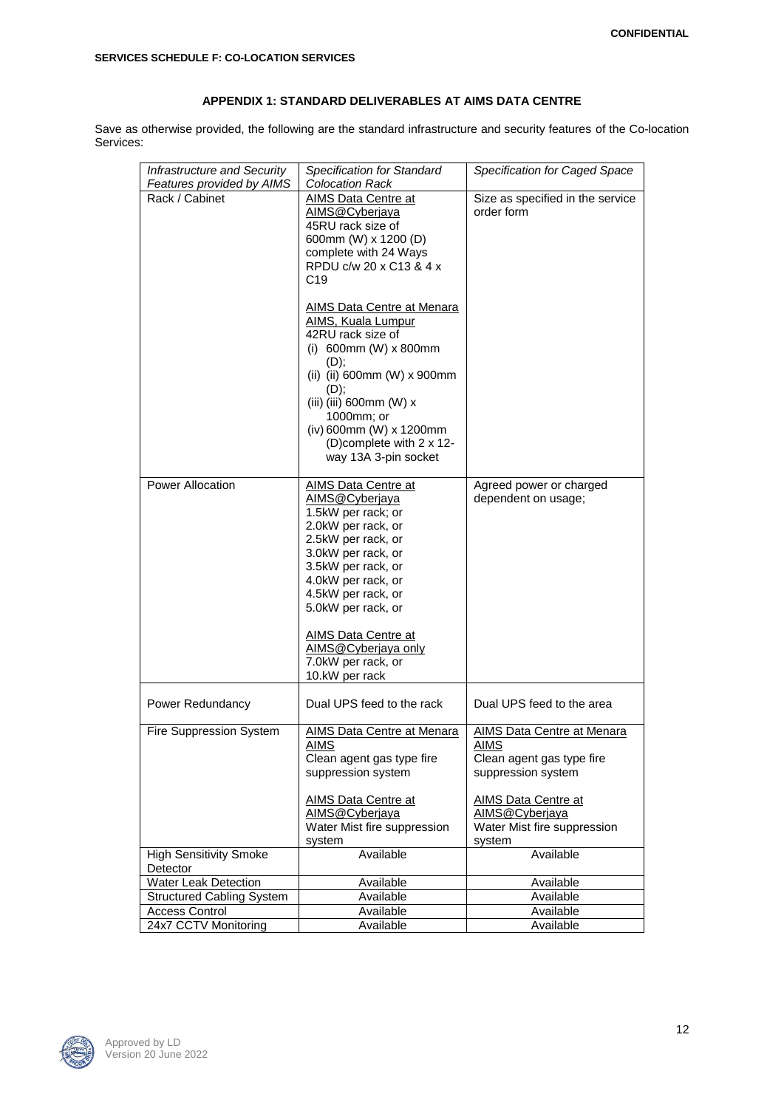# **APPENDIX 1: STANDARD DELIVERABLES AT AIMS DATA CENTRE**

Save as otherwise provided, the following are the standard infrastructure and security features of the Co-location Services:

| Infrastructure and Security      | Specification for Standard  | Specification for Caged Space    |
|----------------------------------|-----------------------------|----------------------------------|
| Features provided by AIMS        | <b>Colocation Rack</b>      |                                  |
| Rack / Cabinet                   | AIMS Data Centre at         | Size as specified in the service |
|                                  | AIMS@Cyberjaya              | order form                       |
|                                  | 45RU rack size of           |                                  |
|                                  | 600mm (W) x 1200 (D)        |                                  |
|                                  | complete with 24 Ways       |                                  |
|                                  | RPDU c/w 20 x C13 & 4 x     |                                  |
|                                  | C <sub>19</sub>             |                                  |
|                                  |                             |                                  |
|                                  | AIMS Data Centre at Menara  |                                  |
|                                  | <b>AIMS, Kuala Lumpur</b>   |                                  |
|                                  | 42RU rack size of           |                                  |
|                                  | (i) 600mm (W) $x$ 800mm     |                                  |
|                                  | $(D)$ ;                     |                                  |
|                                  | (ii) (ii) 600mm (W) x 900mm |                                  |
|                                  | (D);                        |                                  |
|                                  | (iii) (iii) 600mm (W) x     |                                  |
|                                  | 1000mm; or                  |                                  |
|                                  | (iv) 600mm (W) x 1200mm     |                                  |
|                                  | (D)complete with 2 x 12-    |                                  |
|                                  | way 13A 3-pin socket        |                                  |
|                                  |                             |                                  |
| Power Allocation                 | <b>AIMS Data Centre at</b>  | Agreed power or charged          |
|                                  | AIMS@Cyberjaya              | dependent on usage;              |
|                                  | 1.5kW per rack; or          |                                  |
|                                  | 2.0kW per rack, or          |                                  |
|                                  | 2.5kW per rack, or          |                                  |
|                                  | 3.0kW per rack, or          |                                  |
|                                  | 3.5kW per rack, or          |                                  |
|                                  | 4.0kW per rack, or          |                                  |
|                                  | 4.5kW per rack, or          |                                  |
|                                  | 5.0kW per rack, or          |                                  |
|                                  |                             |                                  |
|                                  | <b>AIMS Data Centre at</b>  |                                  |
|                                  | AIMS@Cyberjaya only         |                                  |
|                                  | 7.0kW per rack, or          |                                  |
|                                  | 10.kW per rack              |                                  |
| Power Redundancy                 | Dual UPS feed to the rack   | Dual UPS feed to the area        |
|                                  |                             |                                  |
| Fire Suppression System          | AIMS Data Centre at Menara  | AIMS Data Centre at Menara       |
|                                  | <u>AIMS</u>                 | <b>AIMS</b>                      |
|                                  | Clean agent gas type fire   | Clean agent gas type fire        |
|                                  | suppression system          | suppression system               |
|                                  |                             |                                  |
|                                  | <b>AIMS Data Centre at</b>  | <b>AIMS Data Centre at</b>       |
|                                  | AIMS@Cyberjaya              | AIMS@Cyberjaya                   |
|                                  | Water Mist fire suppression | Water Mist fire suppression      |
|                                  | system                      | system                           |
| <b>High Sensitivity Smoke</b>    | Available                   | Available                        |
| Detector                         |                             |                                  |
| Water Leak Detection             | Available                   | Available                        |
| <b>Structured Cabling System</b> | Available                   | Available                        |
| <b>Access Control</b>            | Available                   | Available                        |
| 24x7 CCTV Monitoring             | Available                   | Available                        |

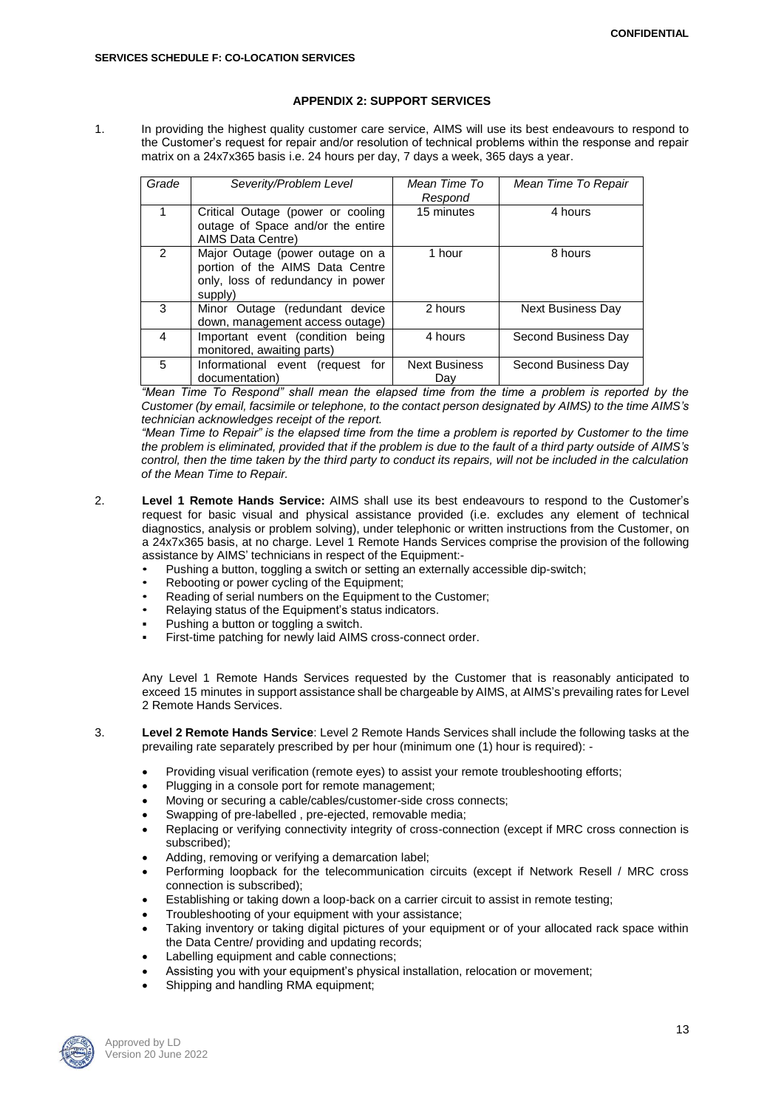### **APPENDIX 2: SUPPORT SERVICES**

1. In providing the highest quality customer care service, AIMS will use its best endeavours to respond to the Customer's request for repair and/or resolution of technical problems within the response and repair matrix on a 24x7x365 basis i.e. 24 hours per day, 7 days a week, 365 days a year.

| Grade          | Severity/Problem Level                                                                                             | Mean Time To<br>Respond     | Mean Time To Repair      |
|----------------|--------------------------------------------------------------------------------------------------------------------|-----------------------------|--------------------------|
|                | Critical Outage (power or cooling<br>outage of Space and/or the entire<br>AIMS Data Centre)                        | 15 minutes                  | 4 hours                  |
| $\mathfrak{p}$ | Major Outage (power outage on a<br>portion of the AIMS Data Centre<br>only, loss of redundancy in power<br>supply) | 1 hour                      | 8 hours                  |
| 3              | Minor Outage (redundant device<br>down, management access outage)                                                  | 2 hours                     | <b>Next Business Day</b> |
| 4              | Important event (condition being<br>monitored, awaiting parts)                                                     | 4 hours                     | Second Business Day      |
| 5              | Informational event<br>(request for<br>documentation)                                                              | <b>Next Business</b><br>Day | Second Business Day      |

*"Mean Time To Respond" shall mean the elapsed time from the time a problem is reported by the Customer (by email, facsimile or telephone, to the contact person designated by AIMS) to the time AIMS's technician acknowledges receipt of the report.*

*"Mean Time to Repair" is the elapsed time from the time a problem is reported by Customer to the time the problem is eliminated, provided that if the problem is due to the fault of a third party outside of AIMS's control, then the time taken by the third party to conduct its repairs, will not be included in the calculation of the Mean Time to Repair.*

- 2. **Level 1 Remote Hands Service:** AIMS shall use its best endeavours to respond to the Customer's request for basic visual and physical assistance provided (i.e. excludes any element of technical diagnostics, analysis or problem solving), under telephonic or written instructions from the Customer, on a 24x7x365 basis, at no charge. Level 1 Remote Hands Services comprise the provision of the following assistance by AIMS' technicians in respect of the Equipment:-
	- Pushing a button, toggling a switch or setting an externally accessible dip-switch;
	- Rebooting or power cycling of the Equipment;
	- Reading of serial numbers on the Equipment to the Customer;
	- Relaying status of the Equipment's status indicators.
	- Pushing a button or toggling a switch.
	- First-time patching for newly laid AIMS cross-connect order.

Any Level 1 Remote Hands Services requested by the Customer that is reasonably anticipated to exceed 15 minutes in support assistance shall be chargeable by AIMS, at AIMS's prevailing rates for Level 2 Remote Hands Services.

3. **Level 2 Remote Hands Service**: Level 2 Remote Hands Services shall include the following tasks at the prevailing rate separately prescribed by per hour (minimum one (1) hour is required): -

- Providing visual verification (remote eyes) to assist your remote troubleshooting efforts;
- Plugging in a console port for remote management;
- Moving or securing a cable/cables/customer-side cross connects;
- Swapping of pre-labelled , pre-ejected, removable media;
- Replacing or verifying connectivity integrity of cross-connection (except if MRC cross connection is subscribed);
- Adding, removing or verifying a demarcation label;
- Performing loopback for the telecommunication circuits (except if Network Resell / MRC cross connection is subscribed);
- Establishing or taking down a loop-back on a carrier circuit to assist in remote testing;
- Troubleshooting of your equipment with your assistance;
- Taking inventory or taking digital pictures of your equipment or of your allocated rack space within the Data Centre/ providing and updating records;
- Labelling equipment and cable connections;
- Assisting you with your equipment's physical installation, relocation or movement;
- Shipping and handling RMA equipment;

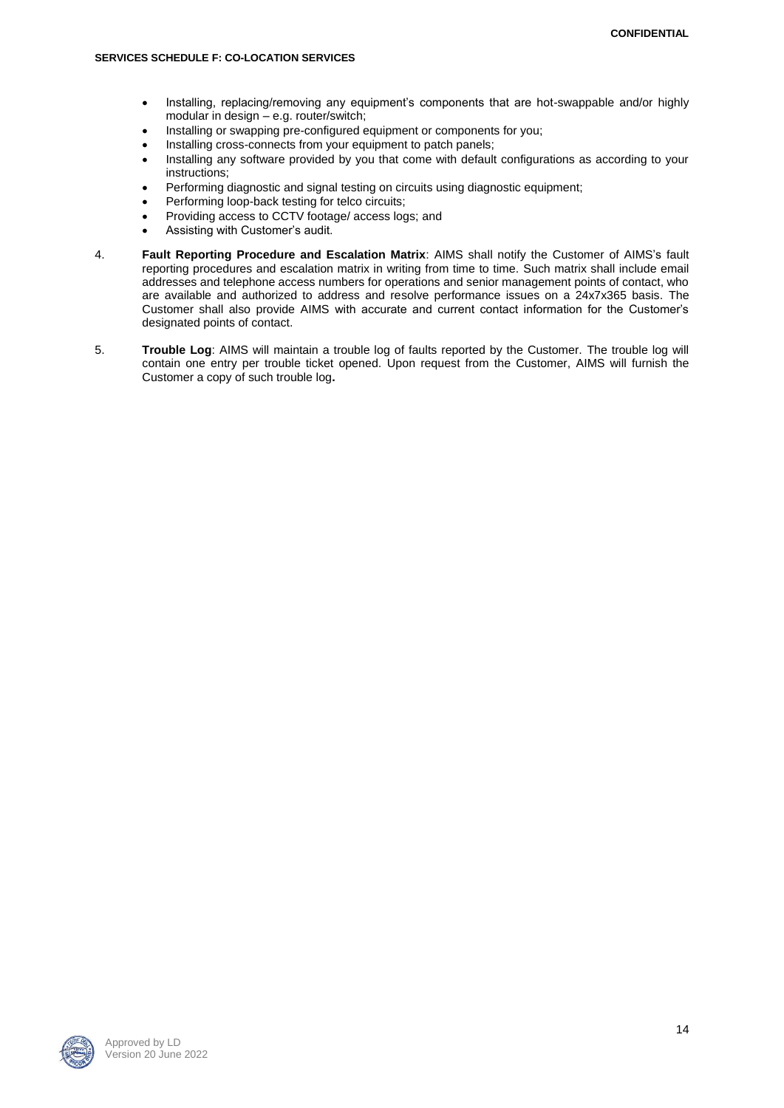- Installing, replacing/removing any equipment's components that are hot-swappable and/or highly modular in design – e.g. router/switch;
- Installing or swapping pre-configured equipment or components for you;
- Installing cross-connects from your equipment to patch panels;
- Installing any software provided by you that come with default configurations as according to your instructions;
- Performing diagnostic and signal testing on circuits using diagnostic equipment;
- Performing loop-back testing for telco circuits;
- Providing access to CCTV footage/ access logs; and
- Assisting with Customer's audit.
- 4. **Fault Reporting Procedure and Escalation Matrix**: AIMS shall notify the Customer of AIMS's fault reporting procedures and escalation matrix in writing from time to time. Such matrix shall include email addresses and telephone access numbers for operations and senior management points of contact, who are available and authorized to address and resolve performance issues on a 24x7x365 basis. The Customer shall also provide AIMS with accurate and current contact information for the Customer's designated points of contact.
- 5. **Trouble Log**: AIMS will maintain a trouble log of faults reported by the Customer. The trouble log will contain one entry per trouble ticket opened. Upon request from the Customer, AIMS will furnish the Customer a copy of such trouble log**.**

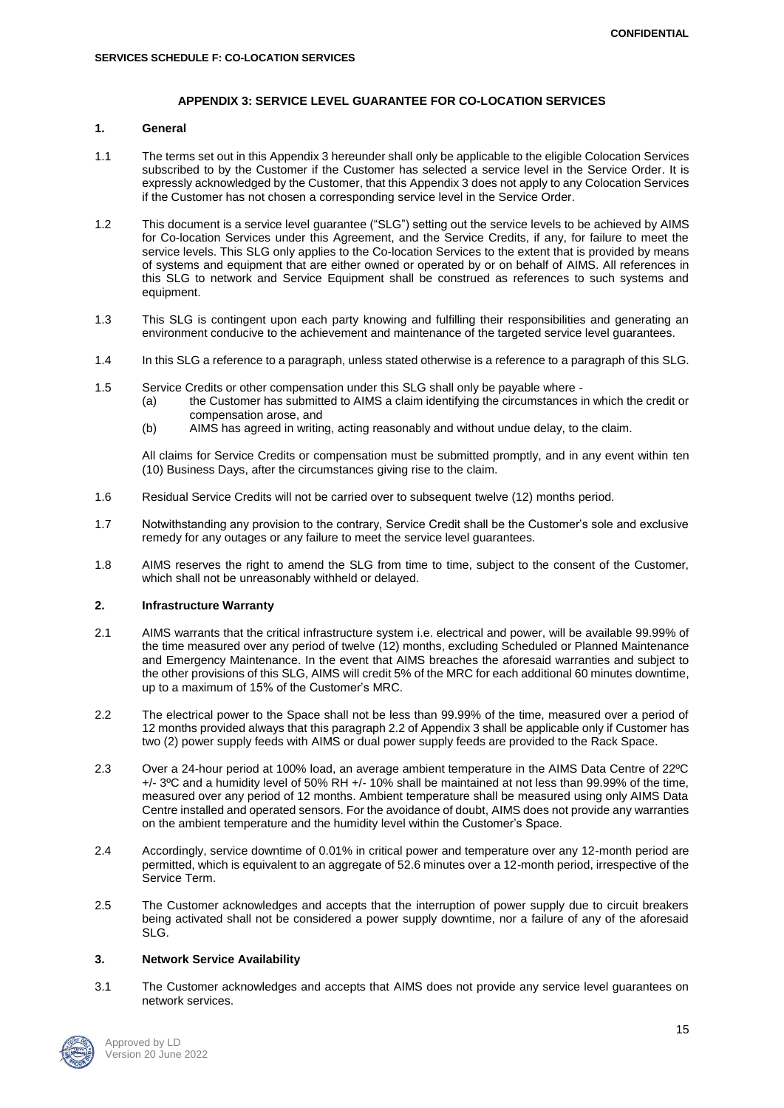## **APPENDIX 3: SERVICE LEVEL GUARANTEE FOR CO-LOCATION SERVICES**

# **1. General**

- 1.1 The terms set out in this Appendix 3 hereunder shall only be applicable to the eligible Colocation Services subscribed to by the Customer if the Customer has selected a service level in the Service Order. It is expressly acknowledged by the Customer, that this Appendix 3 does not apply to any Colocation Services if the Customer has not chosen a corresponding service level in the Service Order.
- 1.2 This document is a service level guarantee ("SLG") setting out the service levels to be achieved by AIMS for Co-location Services under this Agreement, and the Service Credits, if any, for failure to meet the service levels. This SLG only applies to the Co-location Services to the extent that is provided by means of systems and equipment that are either owned or operated by or on behalf of AIMS. All references in this SLG to network and Service Equipment shall be construed as references to such systems and equipment.
- 1.3 This SLG is contingent upon each party knowing and fulfilling their responsibilities and generating an environment conducive to the achievement and maintenance of the targeted service level guarantees.
- 1.4 In this SLG a reference to a paragraph, unless stated otherwise is a reference to a paragraph of this SLG.
- 1.5 Service Credits or other compensation under this SLG shall only be payable where
	- (a) the Customer has submitted to AIMS a claim identifying the circumstances in which the credit or compensation arose, and
	- (b) AIMS has agreed in writing, acting reasonably and without undue delay, to the claim.

All claims for Service Credits or compensation must be submitted promptly, and in any event within ten (10) Business Days, after the circumstances giving rise to the claim.

- 1.6 Residual Service Credits will not be carried over to subsequent twelve (12) months period.
- 1.7 Notwithstanding any provision to the contrary, Service Credit shall be the Customer's sole and exclusive remedy for any outages or any failure to meet the service level guarantees.
- 1.8 AIMS reserves the right to amend the SLG from time to time, subject to the consent of the Customer, which shall not be unreasonably withheld or delayed.

### **2. Infrastructure Warranty**

- 2.1 AIMS warrants that the critical infrastructure system i.e. electrical and power, will be available 99.99% of the time measured over any period of twelve (12) months, excluding Scheduled or Planned Maintenance and Emergency Maintenance. In the event that AIMS breaches the aforesaid warranties and subject to the other provisions of this SLG, AIMS will credit 5% of the MRC for each additional 60 minutes downtime, up to a maximum of 15% of the Customer's MRC.
- 2.2 The electrical power to the Space shall not be less than 99.99% of the time, measured over a period of 12 months provided always that this paragraph 2.2 of Appendix 3 shall be applicable only if Customer has two (2) power supply feeds with AIMS or dual power supply feeds are provided to the Rack Space.
- 2.3 Over a 24-hour period at 100% load, an average ambient temperature in the AIMS Data Centre of 22ºC +/- 3ºC and a humidity level of 50% RH +/- 10% shall be maintained at not less than 99.99% of the time, measured over any period of 12 months. Ambient temperature shall be measured using only AIMS Data Centre installed and operated sensors. For the avoidance of doubt, AIMS does not provide any warranties on the ambient temperature and the humidity level within the Customer's Space.
- 2.4 Accordingly, service downtime of 0.01% in critical power and temperature over any 12-month period are permitted, which is equivalent to an aggregate of 52.6 minutes over a 12-month period, irrespective of the Service Term.
- 2.5 The Customer acknowledges and accepts that the interruption of power supply due to circuit breakers being activated shall not be considered a power supply downtime, nor a failure of any of the aforesaid SLG.

#### **3. Network Service Availability**

3.1 The Customer acknowledges and accepts that AIMS does not provide any service level guarantees on network services.